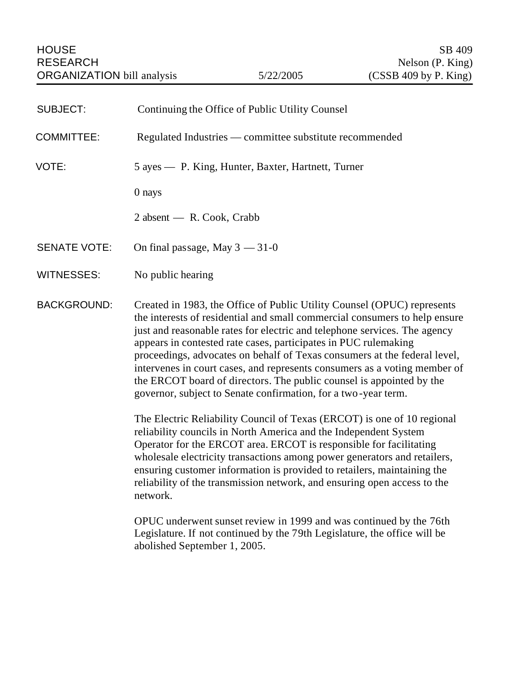| <b>SUBJECT:</b>     | Continuing the Office of Public Utility Counsel                                                                                                                                                                                                                                                                                                                                                                                                                                                                                                                                                           |
|---------------------|-----------------------------------------------------------------------------------------------------------------------------------------------------------------------------------------------------------------------------------------------------------------------------------------------------------------------------------------------------------------------------------------------------------------------------------------------------------------------------------------------------------------------------------------------------------------------------------------------------------|
| <b>COMMITTEE:</b>   | Regulated Industries — committee substitute recommended                                                                                                                                                                                                                                                                                                                                                                                                                                                                                                                                                   |
| VOTE:               | 5 ayes — P. King, Hunter, Baxter, Hartnett, Turner                                                                                                                                                                                                                                                                                                                                                                                                                                                                                                                                                        |
|                     | 0 nays                                                                                                                                                                                                                                                                                                                                                                                                                                                                                                                                                                                                    |
|                     | 2 absent — R. Cook, Crabb                                                                                                                                                                                                                                                                                                                                                                                                                                                                                                                                                                                 |
| <b>SENATE VOTE:</b> | On final passage, May $3 - 31 - 0$                                                                                                                                                                                                                                                                                                                                                                                                                                                                                                                                                                        |
| <b>WITNESSES:</b>   | No public hearing                                                                                                                                                                                                                                                                                                                                                                                                                                                                                                                                                                                         |
| <b>BACKGROUND:</b>  | Created in 1983, the Office of Public Utility Counsel (OPUC) represents<br>the interests of residential and small commercial consumers to help ensure<br>just and reasonable rates for electric and telephone services. The agency<br>appears in contested rate cases, participates in PUC rulemaking<br>proceedings, advocates on behalf of Texas consumers at the federal level,<br>intervenes in court cases, and represents consumers as a voting member of<br>the ERCOT board of directors. The public counsel is appointed by the<br>governor, subject to Senate confirmation, for a two-year term. |
|                     | The Electric Reliability Council of Texas (ERCOT) is one of 10 regional<br>reliability councils in North America and the Independent System<br>Operator for the ERCOT area. ERCOT is responsible for facilitating<br>wholesale electricity transactions among power generators and retailers,<br>ensuring customer information is provided to retailers, maintaining the<br>reliability of the transmission network, and ensuring open access to the<br>network.                                                                                                                                          |
|                     | OPUC underwent sunset review in 1999 and was continued by the 76th<br>Legislature. If not continued by the 79th Legislature, the office will be<br>abolished September 1, 2005.                                                                                                                                                                                                                                                                                                                                                                                                                           |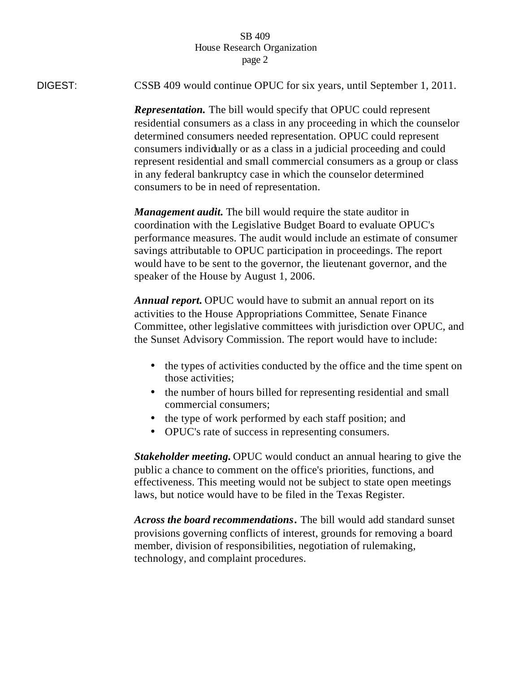## SB 409 House Research Organization page 2

DIGEST: CSSB 409 would continue OPUC for six years, until September 1, 2011.

*Representation.* The bill would specify that OPUC could represent residential consumers as a class in any proceeding in which the counselor determined consumers needed representation. OPUC could represent consumers individually or as a class in a judicial proceeding and could represent residential and small commercial consumers as a group or class in any federal bankruptcy case in which the counselor determined consumers to be in need of representation.

*Management audit.* The bill would require the state auditor in coordination with the Legislative Budget Board to evaluate OPUC's performance measures. The audit would include an estimate of consumer savings attributable to OPUC participation in proceedings. The report would have to be sent to the governor, the lieutenant governor, and the speaker of the House by August 1, 2006.

*Annual report.* OPUC would have to submit an annual report on its activities to the House Appropriations Committee, Senate Finance Committee, other legislative committees with jurisdiction over OPUC, and the Sunset Advisory Commission. The report would have to include:

- the types of activities conducted by the office and the time spent on those activities;
- the number of hours billed for representing residential and small commercial consumers;
- the type of work performed by each staff position; and
- OPUC's rate of success in representing consumers.

*Stakeholder meeting.* OPUC would conduct an annual hearing to give the public a chance to comment on the office's priorities, functions, and effectiveness. This meeting would not be subject to state open meetings laws, but notice would have to be filed in the Texas Register.

*Across the board recommendations***.** The bill would add standard sunset provisions governing conflicts of interest, grounds for removing a board member, division of responsibilities, negotiation of rulemaking, technology, and complaint procedures.